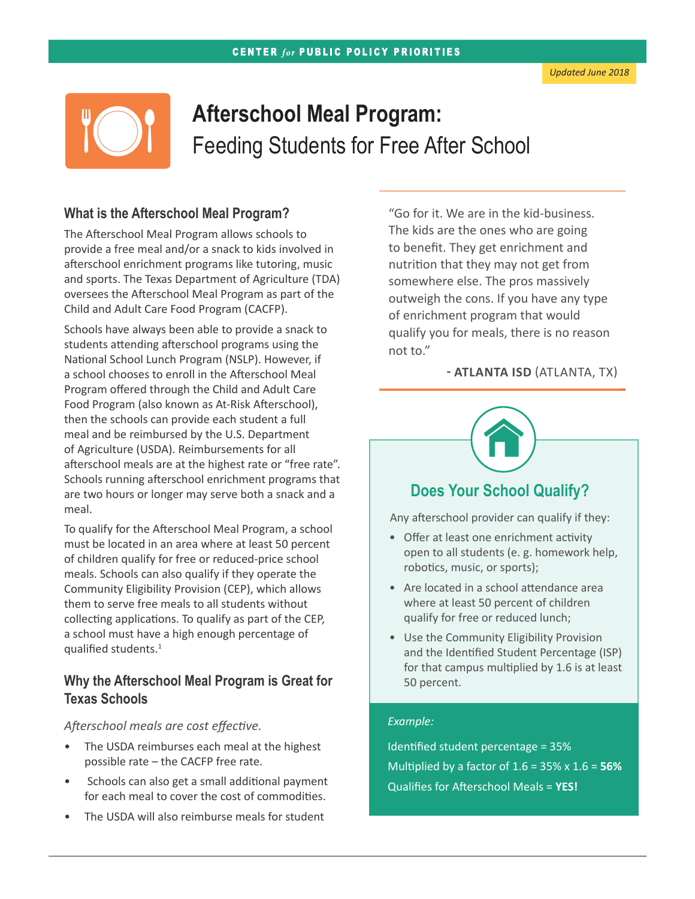

# **Afterschool Meal Program:**  Feeding Students for Free After School

#### **What is the Afterschool Meal Program?**

The Afterschool Meal Program allows schools to provide a free meal and/or a snack to kids involved in afterschool enrichment programs like tutoring, music and sports. The Texas Department of Agriculture (TDA) oversees the Afterschool Meal Program as part of the Child and Adult Care Food Program (CACFP).

Schools have always been able to provide a snack to students attending afterschool programs using the National School Lunch Program (NSLP). However, if a school chooses to enroll in the Afterschool Meal Program offered through the Child and Adult Care Food Program (also known as At-Risk Afterschool), then the schools can provide each student a full meal and be reimbursed by the U.S. Department of Agriculture (USDA). Reimbursements for all afterschool meals are at the highest rate or "free rate". Schools running afterschool enrichment programs that are two hours or longer may serve both a snack and a meal.

To qualify for the Afterschool Meal Program, a school must be located in an area where at least 50 percent of children qualify for free or reduced-price school meals. Schools can also qualify if they operate the [Community Eligibility Provision \(CEP](http://forabettertexas.org/images/FN_2015_07_ComEligibility_Factsheet.pdf)), which allows them to serve free meals to all students without collecting applications. To qualify as part of the CEP, a school must have a high enough percentage of qualified students.1

#### **Why the Afterschool Meal Program is Great for Texas Schools**

*Afterschool meals are cost effective.*

- The USDA reimburses each meal at the highest possible rate – the CACFP free rate.
- Schools can also get a small additional payment for each meal to cover the cost of commodities.
- The USDA will also reimburse meals for student

"Go for it. We are in the kid-business. The kids are the ones who are going to benefit. They get enrichment and nutrition that they may not get from somewhere else. The pros massively outweigh the cons. If you have any type of enrichment program that would qualify you for meals, there is no reason not to."

#### **- ATLANTA ISD** (ATLANTA, TX)



# **Does Your School Qualify?**

Any afterschool provider can qualify if they:

- Offer at least one enrichment activity open to all students (e. g. homework help, robotics, music, or sports);
- Are located in a school attendance area where at least 50 percent of children qualify for free or reduced lunch;
- Use the Community Eligibility Provision and the Identified Student Percentage (ISP) for that campus multiplied by 1.6 is at least 50 percent.

#### *Example:*

Identified student percentage = 35% Multiplied by a factor of 1.6 = 35% x 1.6 = **56%** Qualifies for Afterschool Meals = **YES!**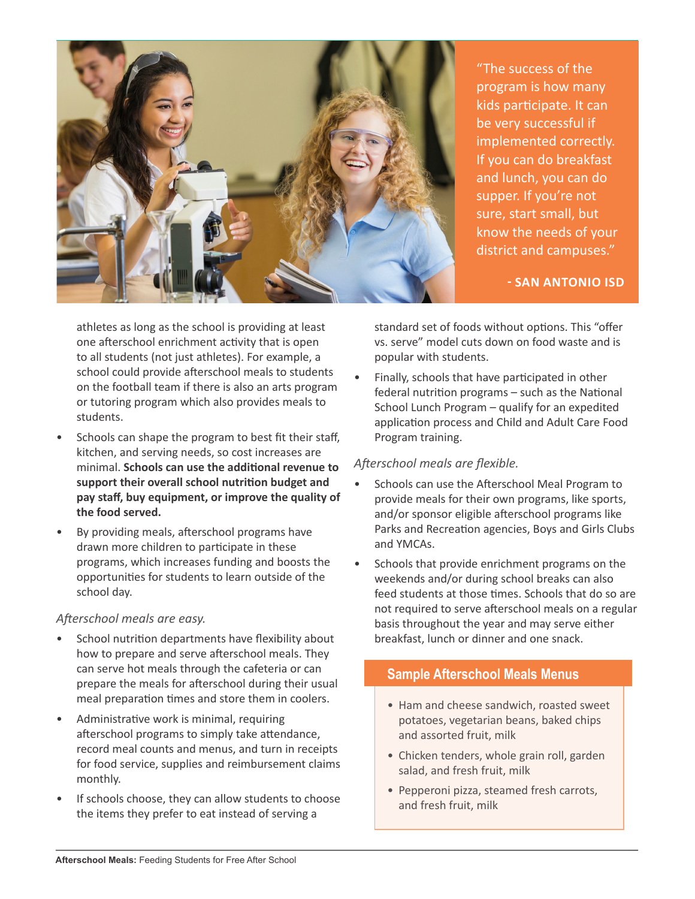

"The success of the program is how many kids participate. It can be very successful if implemented correctly. If you can do breakfast and lunch, you can do supper. If you're not sure, start small, but know the needs of your district and campuses."

**- SAN ANTONIO ISD** 

athletes as long as the school is providing at least one afterschool enrichment activity that is open to all students (not just athletes). For example, a school could provide afterschool meals to students on the football team if there is also an arts program or tutoring program which also provides meals to students.

- Schools can shape the program to best fit their staff, kitchen, and serving needs, so cost increases are minimal. **Schools can use the additional revenue to support their overall school nutrition budget and pay staff, buy equipment, or improve the quality of the food served.**
- By providing meals, afterschool programs have drawn more children to participate in these programs, which increases funding and boosts the opportunities for students to learn outside of the school day.

#### *Afterschool meals are easy.*

- School nutrition departments have flexibility about how to prepare and serve afterschool meals. They can serve hot meals through the cafeteria or can prepare the meals for afterschool during their usual meal preparation times and store them in coolers.
- Administrative work is minimal, requiring afterschool programs to simply take attendance, record meal counts and menus, and turn in receipts for food service, supplies and reimbursement claims monthly.
- If schools choose, they can allow students to choose the items they prefer to eat instead of serving a

standard set of foods without options. This "offer vs. serve" model cuts down on food waste and is popular with students.

• Finally, schools that have participated in other federal nutrition programs – such as the National School Lunch Program – qualify for an expedited application process and Child and Adult Care Food Program training.

#### *Afterschool meals are flexible.*

- Schools can use the Afterschool Meal Program to provide meals for their own programs, like sports, and/or sponsor eligible afterschool programs like Parks and Recreation agencies, Boys and Girls Clubs and YMCAs.
- Schools that provide enrichment programs on the weekends and/or during school breaks can also feed students at those times. Schools that do so are not required to serve afterschool meals on a regular basis throughout the year and may serve either breakfast, lunch or dinner and one snack.

## **Sample Afterschool Meals Menus**

- Ham and cheese sandwich, roasted sweet potatoes, vegetarian beans, baked chips and assorted fruit, milk
- Chicken tenders, whole grain roll, garden salad, and fresh fruit, milk
- Pepperoni pizza, steamed fresh carrots, and fresh fruit, milk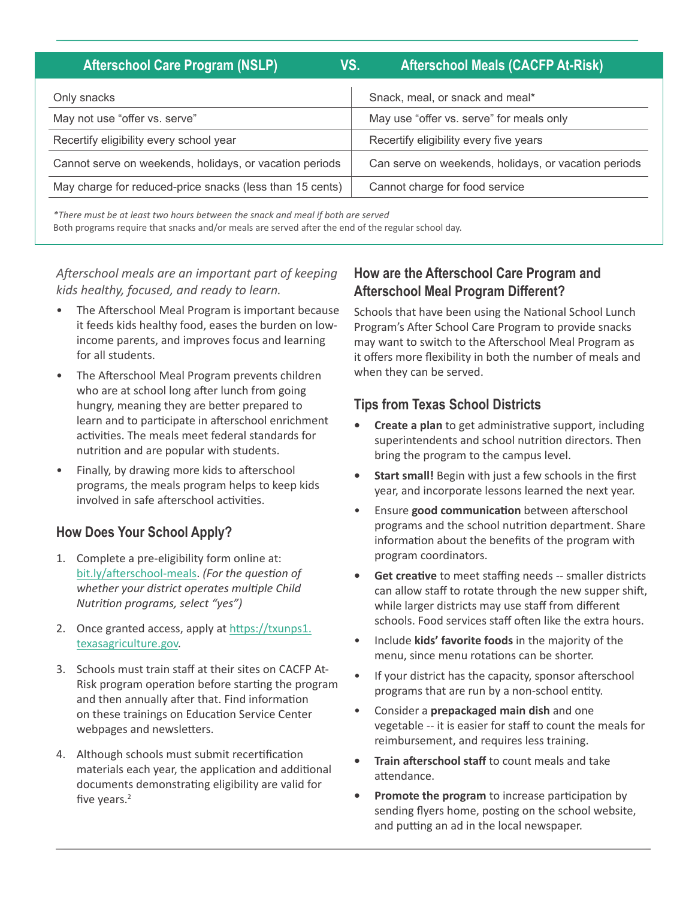| <b>Afterschool Care Program (NSLP)</b>                   | <b>Afterschool Meals (CACFP At-Risk)</b><br>VS.      |
|----------------------------------------------------------|------------------------------------------------------|
| Only snacks                                              | Snack, meal, or snack and meal*                      |
| May not use "offer vs. serve"                            | May use "offer vs. serve" for meals only             |
| Recertify eligibility every school year                  | Recertify eligibility every five years               |
| Cannot serve on weekends, holidays, or vacation periods  | Can serve on weekends, holidays, or vacation periods |
| May charge for reduced-price snacks (less than 15 cents) | Cannot charge for food service                       |

*\*There must be at least two hours between the snack and meal if both are served* Both programs require that snacks and/or meals are served after the end of the regular school day.

*Afterschool meals are an important part of keeping kids healthy, focused, and ready to learn.*

- The Afterschool Meal Program is important because it feeds kids healthy food, eases the burden on lowincome parents, and improves focus and learning for all students.
- The Afterschool Meal Program prevents children who are at school long after lunch from going hungry, meaning they are better prepared to learn and to participate in afterschool enrichment activities. The meals meet federal standards for nutrition and are popular with students.
- Finally, by drawing more kids to afterschool programs, the meals program helps to keep kids involved in safe afterschool activities.

# **How Does Your School Apply?**

- 1. Complete a pre-eligibility form online at: [bit.ly/afterschool-meals](http://bit.ly/afterschool-meals). *(For the question of whether your district operates multiple Child Nutrition programs, select "yes")*
- 2. Once granted access, apply at [https://txunps1.](https://txunps1.texasagriculture.gov) [texasagriculture.gov.](https://txunps1.texasagriculture.gov)
- 3. Schools must train staff at their sites on CACFP At-Risk program operation before starting the program and then annually after that. Find information on these trainings on Education Service Center webpages and newsletters.
- 4. Although schools must submit recertification materials each year, the application and additional documents demonstrating eligibility are valid for five years.<sup>2</sup>

## **How are the Afterschool Care Program and Afterschool Meal Program Different?**

Schools that have been using the National School Lunch Program's After School Care Program to provide snacks may want to switch to the Afterschool Meal Program as it offers more flexibility in both the number of meals and when they can be served.

## **Tips from Texas School Districts**

- **• Create a plan** to get administrative support, including superintendents and school nutrition directors. Then bring the program to the campus level.
- **• Start small!** Begin with just a few schools in the first year, and incorporate lessons learned the next year.
- Ensure **good communication** between afterschool programs and the school nutrition department. Share information about the benefits of the program with program coordinators.
- **• Get creative** to meet staffing needs -- smaller districts can allow staff to rotate through the new supper shift, while larger districts may use staff from different schools. Food services staff often like the extra hours.
- Include **kids' favorite foods** in the majority of the menu, since menu rotations can be shorter.
- If your district has the capacity, sponsor afterschool programs that are run by a non-school entity.
- Consider a **prepackaged main dish** and one vegetable -- it is easier for staff to count the meals for reimbursement, and requires less training.
- **• Train afterschool staff** to count meals and take attendance.
- **• Promote the program** to increase participation by sending flyers home, posting on the school website, and putting an ad in the local newspaper.